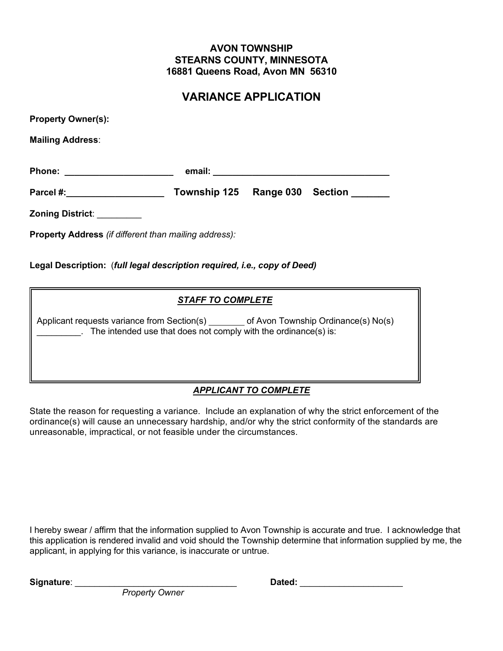# **AVON TOWNSHIP STEARNS COUNTY, MINNESOTA 16881 Queens Road, Avon MN 56310**

# **VARIANCE APPLICATION**

| <b>Property Owner(s):</b> |              |           |                |
|---------------------------|--------------|-----------|----------------|
| <b>Mailing Address:</b>   |              |           |                |
| <b>Phone:</b>             |              |           |                |
| Parcel #:                 | Township 125 | Range 030 | <b>Section</b> |
| Zoning District:          |              |           |                |

**Property Address** *(if different than mailing address):*

**Legal Description:** (*full legal description required, i.e., copy of Deed)*

# *STAFF TO COMPLETE*

Applicant requests variance from Section(s) \_\_\_\_\_\_\_\_ of Avon Township Ordinance(s) No(s) . The intended use that does not comply with the ordinance(s) is:

# *APPLICANT TO COMPLETE*

State the reason for requesting a variance. Include an explanation of why the strict enforcement of the ordinance(s) will cause an unnecessary hardship, and/or why the strict conformity of the standards are unreasonable, impractical, or not feasible under the circumstances.

I hereby swear / affirm that the information supplied to Avon Township is accurate and true. I acknowledge that this application is rendered invalid and void should the Township determine that information supplied by me, the applicant, in applying for this variance, is inaccurate or untrue.

**Signature**: \_\_\_\_\_\_\_\_\_\_\_\_\_\_\_\_\_\_\_\_\_\_\_\_\_\_\_\_\_\_\_\_\_ **Dated:** \_\_\_\_\_\_\_\_\_\_\_\_\_\_\_\_\_\_\_\_\_

*Property Owner*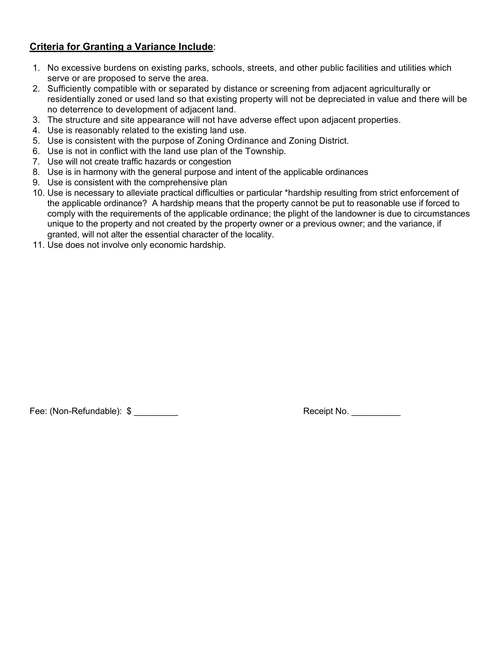# **Criteria for Granting a Variance Include**:

- 1. No excessive burdens on existing parks, schools, streets, and other public facilities and utilities which serve or are proposed to serve the area.
- 2. Sufficiently compatible with or separated by distance or screening from adjacent agriculturally or residentially zoned or used land so that existing property will not be depreciated in value and there will be no deterrence to development of adjacent land.
- 3. The structure and site appearance will not have adverse effect upon adjacent properties.
- 4. Use is reasonably related to the existing land use.
- 5. Use is consistent with the purpose of Zoning Ordinance and Zoning District.
- 6. Use is not in conflict with the land use plan of the Township.
- 7. Use will not create traffic hazards or congestion
- 8. Use is in harmony with the general purpose and intent of the applicable ordinances
- 9. Use is consistent with the comprehensive plan
- 10. Use is necessary to alleviate practical difficulties or particular \*hardship resulting from strict enforcement of the applicable ordinance? A hardship means that the property cannot be put to reasonable use if forced to comply with the requirements of the applicable ordinance; the plight of the landowner is due to circumstances unique to the property and not created by the property owner or a previous owner; and the variance, if granted, will not alter the essential character of the locality.
- 11. Use does not involve only economic hardship.

Fee: (Non-Refundable): \$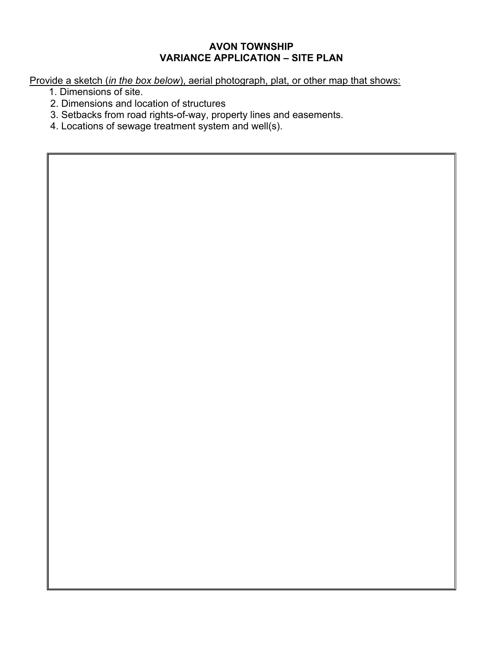# **AVON TOWNSHIP VARIANCE APPLICATION – SITE PLAN**

Provide a sketch (*in the box below*), aerial photograph, plat, or other map that shows:

- 1. Dimensions of site.
- 2. Dimensions and location of structures
- 3. Setbacks from road rights-of-way, property lines and easements.
- 4. Locations of sewage treatment system and well(s).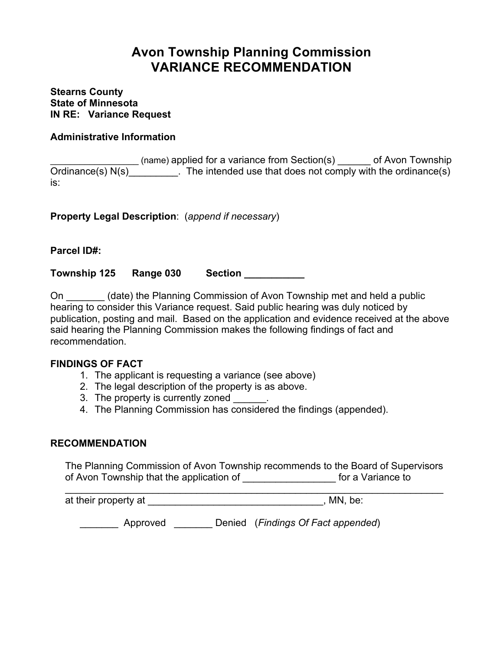# **Avon Township Planning Commission VARIANCE RECOMMENDATION**

**Stearns County State of Minnesota IN RE: Variance Request**

# **Administrative Information**

\_\_\_\_\_\_\_\_\_\_\_\_\_\_\_\_\_\_ (name) applied for a variance from Section(s) \_\_\_\_\_\_ of Avon Township Ordinance(s)  $N(s)$  [10] The intended use that does not comply with the ordinance(s) is:

**Property Legal Description**: (*append if necessary*)

**Parcel ID#:**

**Township 125 Range 030 Section \_\_\_\_\_\_\_\_\_\_\_**

On \_\_\_\_\_\_\_ (date) the Planning Commission of Avon Township met and held a public hearing to consider this Variance request. Said public hearing was duly noticed by publication, posting and mail. Based on the application and evidence received at the above said hearing the Planning Commission makes the following findings of fact and recommendation.

## **FINDINGS OF FACT**

- 1. The applicant is requesting a variance (see above)
- 2. The legal description of the property is as above.
- 3. The property is currently zoned
- 4. The Planning Commission has considered the findings (appended).

## **RECOMMENDATION**

The Planning Commission of Avon Township recommends to the Board of Supervisors of Avon Township that the application of The Contract of Avon Township that the application of

\_\_\_\_\_\_\_\_\_\_\_\_\_\_\_\_\_\_\_\_\_\_\_\_\_\_\_\_\_\_\_\_\_\_\_\_\_\_\_\_\_\_\_\_\_\_\_\_\_\_\_\_\_\_\_\_\_\_\_\_\_\_\_\_\_\_\_\_\_

at their property at  $\blacksquare$ 

\_\_\_\_\_\_\_ Approved \_\_\_\_\_\_\_ Denied (*Findings Of Fact appended*)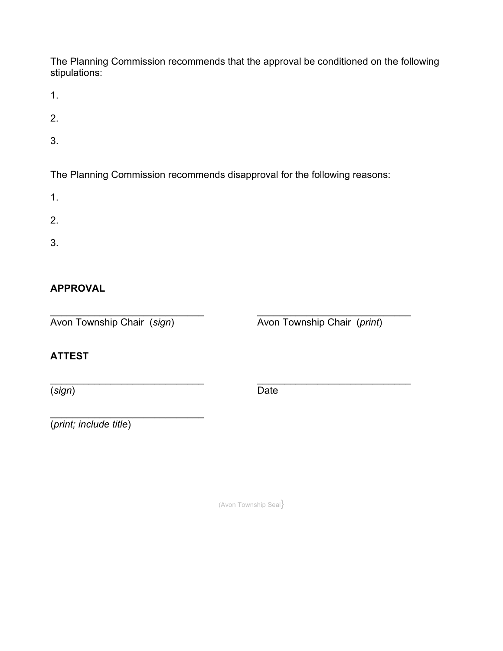The Planning Commission recommends that the approval be conditioned on the following stipulations:

1.

- 2.
- 3.

The Planning Commission recommends disapproval for the following reasons:

- 1.
- 
- 2.
- 3.

# **APPROVAL**

\_\_\_\_\_\_\_\_\_\_\_\_\_\_\_\_\_\_\_\_\_\_\_\_\_\_\_\_ \_\_\_\_\_\_\_\_\_\_\_\_\_\_\_\_\_\_\_\_\_\_\_\_\_\_\_\_ Avon Township Chair (*sign*) Avon Township Chair (*print*)

\_\_\_\_\_\_\_\_\_\_\_\_\_\_\_\_\_\_\_\_\_\_\_\_\_\_\_\_

# **ATTEST**

(*sign*) Date

\_\_\_\_\_\_\_\_\_\_\_\_\_\_\_\_\_\_\_\_\_\_\_\_\_\_\_\_ \_\_\_\_\_\_\_\_\_\_\_\_\_\_\_\_\_\_\_\_\_\_\_\_\_\_\_\_

(*print; include title*)

(Avon Township Seal}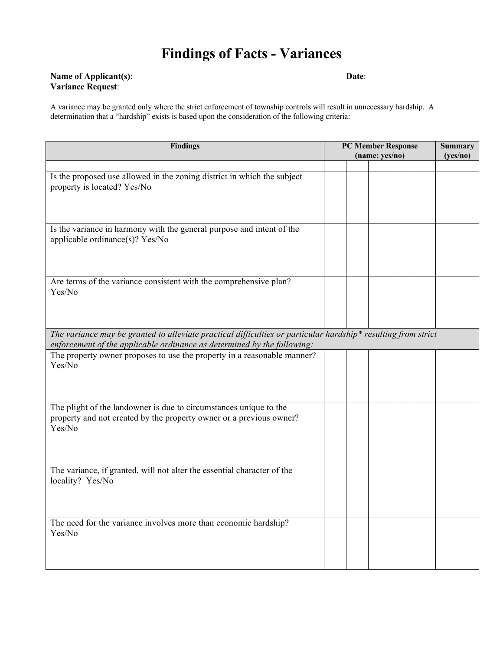# **Findings of Facts - Variances**

#### **Name of Applicant(s)**: **Date**: **Variance Request**:

A variance may be granted only where the strict enforcement of township controls will result in unnecessary hardship. A determination that a "hardship" exists is based upon the consideration of the following criteria:

| <b>Findings</b>                                                                                                                                                                          |  | <b>PC Member Response</b><br>(name; yes/no) |  |  | <b>Summary</b> |          |  |
|------------------------------------------------------------------------------------------------------------------------------------------------------------------------------------------|--|---------------------------------------------|--|--|----------------|----------|--|
|                                                                                                                                                                                          |  |                                             |  |  |                | (yes/no) |  |
| Is the proposed use allowed in the zoning district in which the subject                                                                                                                  |  |                                             |  |  |                |          |  |
| property is located? Yes/No                                                                                                                                                              |  |                                             |  |  |                |          |  |
| Is the variance in harmony with the general purpose and intent of the<br>applicable ordinance(s)? Yes/No                                                                                 |  |                                             |  |  |                |          |  |
| Are terms of the variance consistent with the comprehensive plan?<br>Yes/No                                                                                                              |  |                                             |  |  |                |          |  |
| The variance may be granted to alleviate practical difficulties or particular hardship* resulting from strict<br>enforcement of the applicable ordinance as determined by the following: |  |                                             |  |  |                |          |  |
| The property owner proposes to use the property in a reasonable manner?<br>Yes/No                                                                                                        |  |                                             |  |  |                |          |  |
| The plight of the landowner is due to circumstances unique to the<br>property and not created by the property owner or a previous owner?<br>Yes/No                                       |  |                                             |  |  |                |          |  |
| The variance, if granted, will not alter the essential character of the<br>locality? Yes/No                                                                                              |  |                                             |  |  |                |          |  |
| The need for the variance involves more than economic hardship?<br>Yes/No                                                                                                                |  |                                             |  |  |                |          |  |